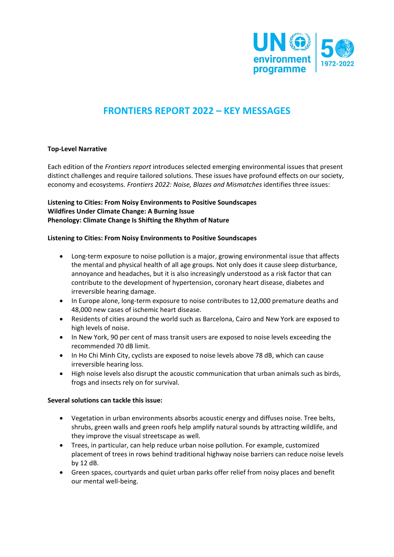

# **FRONTIERS REPORT 2022 – KEY MESSAGES**

## **Top-Level Narrative**

Each edition of the *Frontiers report* introduces selected emerging environmental issues that present distinct challenges and require tailored solutions. These issues have profound effects on our society, economy and ecosystems. *Frontiers 2022: Noise, Blazes and Mismatches* identifies three issues:

# **Listening to Cities: From Noisy Environments to Positive Soundscapes Wildfires Under Climate Change: A Burning Issue Phenology: Climate Change Is Shifting the Rhythm of Nature**

#### **Listening to Cities: From Noisy Environments to Positive Soundscapes**

- Long-term exposure to noise pollution is a major, growing environmental issue that affects the mental and physical health of all age groups. Not only does it cause sleep disturbance, annoyance and headaches, but it is also increasingly understood as a risk factor that can contribute to the development of hypertension, coronary heart disease, diabetes and irreversible hearing damage.
- In Europe alone, long-term exposure to noise contributes to 12,000 premature deaths and 48,000 new cases of ischemic heart disease.
- Residents of cities around the world such as Barcelona, Cairo and New York are exposed to high levels of noise.
- In New York, 90 per cent of mass transit users are exposed to noise levels exceeding the recommended 70 dB limit.
- In Ho Chi Minh City, cyclists are exposed to noise levels above 78 dB, which can cause irreversible hearing loss.
- High noise levels also disrupt the acoustic communication that urban animals such as birds, frogs and insects rely on for survival.

#### **Several solutions can tackle this issue:**

- Vegetation in urban environments absorbs acoustic energy and diffuses noise. Tree belts, shrubs, green walls and green roofs help amplify natural sounds by attracting wildlife, and they improve the visual streetscape as well.
- Trees, in particular, can help reduce urban noise pollution. For example, customized placement of trees in rows behind traditional highway noise barriers can reduce noise levels by 12 dB.
- Green spaces, courtyards and quiet urban parks offer relief from noisy places and benefit our mental well-being.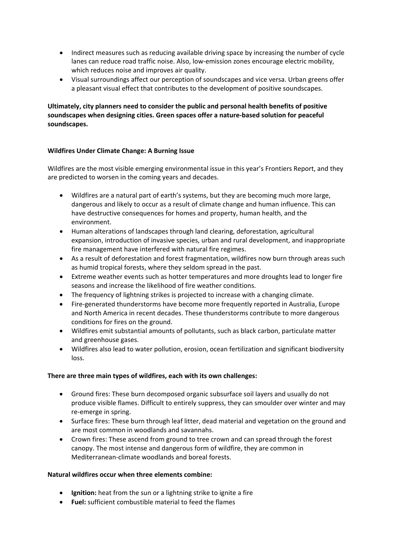- Indirect measures such as reducing available driving space by increasing the number of cycle lanes can reduce road traffic noise. Also, low-emission zones encourage electric mobility, which reduces noise and improves air quality.
- Visual surroundings affect our perception of soundscapes and vice versa. Urban greens offer a pleasant visual effect that contributes to the development of positive soundscapes.

# **Ultimately, city planners need to consider the public and personal health benefits of positive soundscapes when designing cities. Green spaces offer a nature-based solution for peaceful soundscapes.**

# **Wildfires Under Climate Change: A Burning Issue**

Wildfires are the most visible emerging environmental issue in this year's Frontiers Report, and they are predicted to worsen in the coming years and decades.

- Wildfires are a natural part of earth's systems, but they are becoming much more large, dangerous and likely to occur as a result of climate change and human influence. This can have destructive consequences for homes and property, human health, and the environment.
- Human alterations of landscapes through land clearing, deforestation, agricultural expansion, introduction of invasive species, urban and rural development, and inappropriate fire management have interfered with natural fire regimes.
- As a result of deforestation and forest fragmentation, wildfires now burn through areas such as humid tropical forests, where they seldom spread in the past.
- Extreme weather events such as hotter temperatures and more droughts lead to longer fire seasons and increase the likelihood of fire weather conditions.
- The frequency of lightning strikes is projected to increase with a changing climate.
- Fire-generated thunderstorms have become more frequently reported in Australia, Europe and North America in recent decades. These thunderstorms contribute to more dangerous conditions for fires on the ground.
- Wildfires emit substantial amounts of pollutants, such as black carbon, particulate matter and greenhouse gases.
- Wildfires also lead to water pollution, erosion, ocean fertilization and significant biodiversity loss.

# **There are three main types of wildfires, each with its own challenges:**

- Ground fires: These burn decomposed organic subsurface soil layers and usually do not produce visible flames. Difficult to entirely suppress, they can smoulder over winter and may re-emerge in spring.
- Surface fires: These burn through leaf litter, dead material and vegetation on the ground and are most common in woodlands and savannahs.
- Crown fires: These ascend from ground to tree crown and can spread through the forest canopy. The most intense and dangerous form of wildfire, they are common in Mediterranean-climate woodlands and boreal forests.

#### **Natural wildfires occur when three elements combine:**

- **Ignition:** heat from the sun or a lightning strike to ignite a fire
- **Fuel:** sufficient combustible material to feed the flames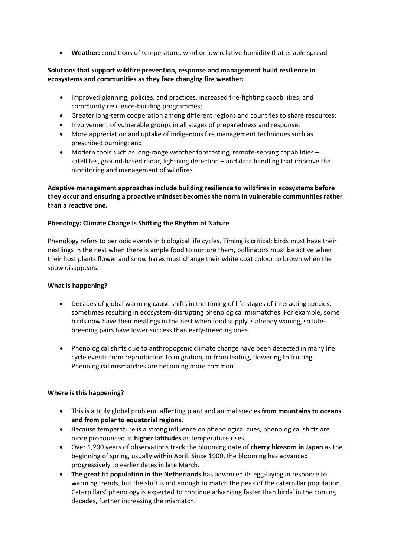• **Weather:** conditions of temperature, wind or low relative humidity that enable spread

# **Solutions that support wildfire prevention, response and management build resilience in ecosystems and communities as they face changing fire weather:**

- Improved planning, policies, and practices, increased fire-fighting capabilities, and community resilience-building programmes;
- Greater long-term cooperation among different regions and countries to share resources;
- Involvement of vulnerable groups in all stages of preparedness and response;
- More appreciation and uptake of indigenous fire management techniques such as prescribed burning; and
- Modern tools such as long-range weather forecasting, remote-sensing capabilities satellites, ground-based radar, lightning detection – and data handling that improve the monitoring and management of wildfires.

# **Adaptive management approaches include building resilience to wildfires in ecosystems before they occur and ensuring a proactive mindset becomes the norm in vulnerable communities rather than a reactive one.**

#### **Phenology: Climate Change Is Shifting the Rhythm of Nature**

Phenology refers to periodic events in biological life cycles. Timing is critical: birds must have their nestlings in the nest when there is ample food to nurture them, pollinators must be active when their host plants flower and snow hares must change their white coat colour to brown when the snow disappears.

#### **What is happening?**

- Decades of global warming cause shifts in the timing of life stages of interacting species, sometimes resulting in ecosystem-disrupting phenological mismatches. For example, some birds now have their nestlings in the nest when food supply is already waning, so latebreeding pairs have lower success than early-breeding ones.
- Phenological shifts due to anthropogenic climate change have been detected in many life cycle events from reproduction to migration, or from leafing, flowering to fruiting. Phenological mismatches are becoming more common.

#### **Where is this happening?**

- This is a truly global problem, affecting plant and animal species **from mountains to oceans and from polar to equatorial regions**.
- Because temperature is a strong influence on phenological cues, phenological shifts are more pronounced at **higher latitudes** as temperature rises.
- Over 1,200 years of observations track the blooming date of **cherry blossom in Japan** as the beginning of spring, usually within April. Since 1900, the blooming has advanced progressively to earlier dates in late March.
- **The great tit population in the Netherlands** has advanced its egg-laying in response to warming trends, but the shift is not enough to match the peak of the caterpillar population. Caterpillars' phenology is expected to continue advancing faster than birds' in the coming decades, further increasing the mismatch.